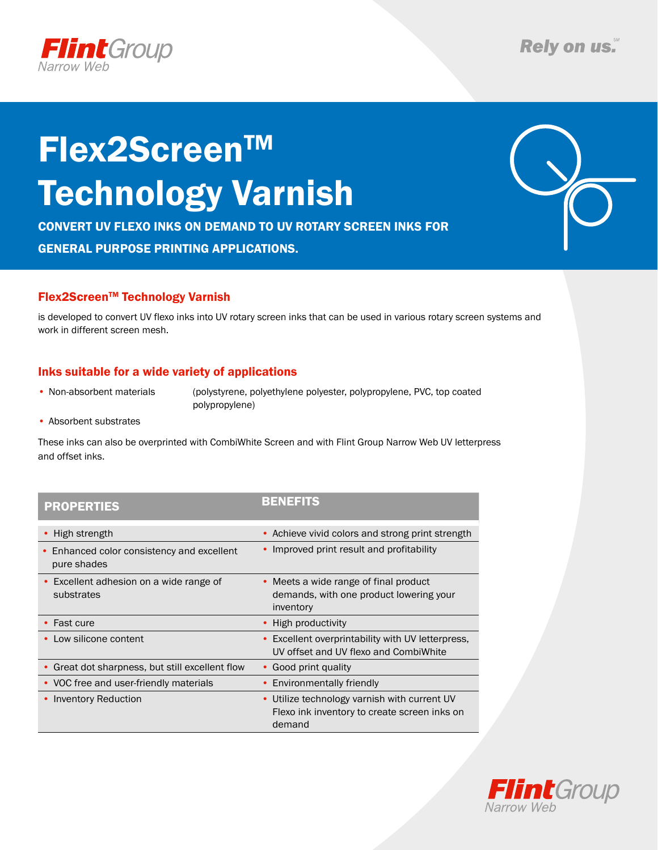

# Flex2ScreenTM Technology Varnish

Convert UV flexo inks on demand to Uv rotary screen inks for general purpose printing applications.

### Flex2ScreenTM Technology Varnish

is developed to convert UV flexo inks into UV rotary screen inks that can be used in various rotary screen systems and work in different screen mesh.

### Inks suitable for a wide variety of applications

• Non-absorbent materials (polystyrene, polyethylene polyester, polypropylene, PVC, top coated polypropylene)

• Absorbent substrates

These inks can also be overprinted with CombiWhite Screen and with Flint Group Narrow Web UV letterpress and offset inks.

### PROPERTIES

| - | ÷ | ー | ー |  |
|---|---|---|---|--|

| High strength                                                    | • Achieve vivid colors and strong print strength                                                                  |  |  |
|------------------------------------------------------------------|-------------------------------------------------------------------------------------------------------------------|--|--|
| • Enhanced color consistency and excellent<br>pure shades        | • Improved print result and profitability                                                                         |  |  |
| Excellent adhesion on a wide range of<br>$\bullet$<br>substrates | • Meets a wide range of final product<br>demands, with one product lowering your<br>inventory                     |  |  |
| $\cdot$ Fast cure                                                | • High productivity                                                                                               |  |  |
| Low silicone content<br>$\bullet$                                | • Excellent overprintability with UV letterpress,<br>UV offset and UV flexo and CombiWhite                        |  |  |
| Great dot sharpness, but still excellent flow                    | • Good print quality                                                                                              |  |  |
| • VOC free and user-friendly materials                           | • Environmentally friendly                                                                                        |  |  |
| • Inventory Reduction                                            | Utilize technology varnish with current UV<br>$\bullet$<br>Flexo ink inventory to create screen inks on<br>demand |  |  |